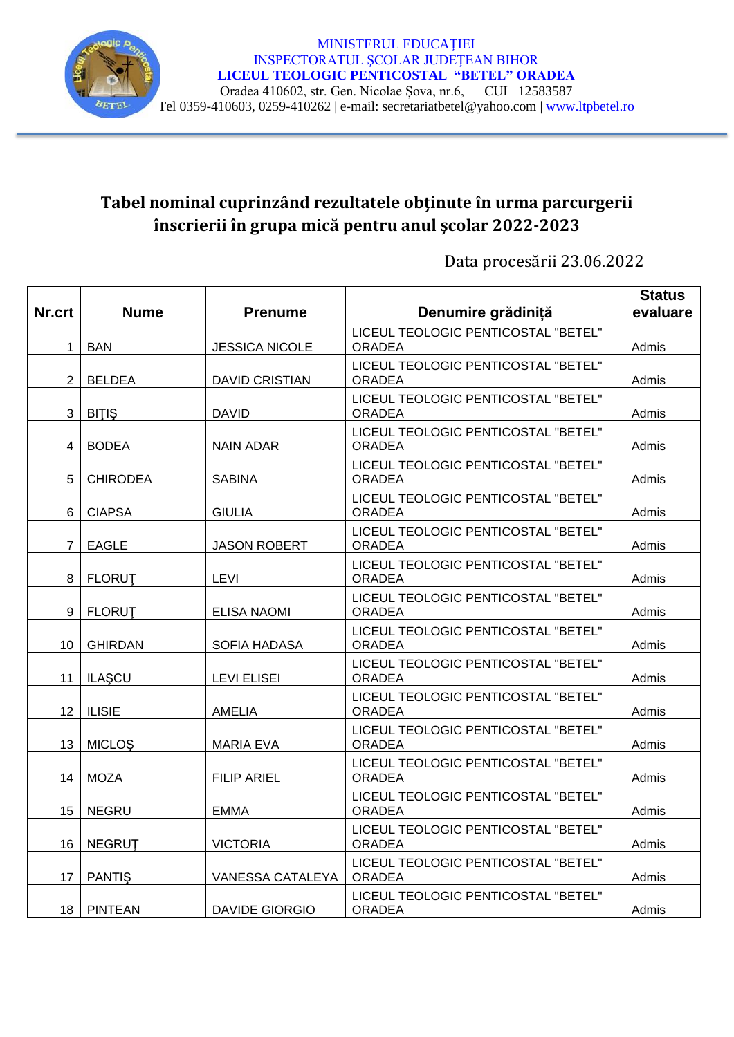

## **Tabel nominal cuprinzând rezultatele obţinute în urma parcurgerii înscrierii în grupa mică pentru anul şcolar 2022-2023**

Data procesării 23.06.2022

| Nr.crt          | <b>Nume</b>     | <b>Prenume</b>        | Denumire grădiniță                                   | <b>Status</b><br>evaluare |
|-----------------|-----------------|-----------------------|------------------------------------------------------|---------------------------|
| 1               | <b>BAN</b>      | <b>JESSICA NICOLE</b> | LICEUL TEOLOGIC PENTICOSTAL "BETEL"<br><b>ORADEA</b> | Admis                     |
| $\overline{2}$  | <b>BELDEA</b>   | <b>DAVID CRISTIAN</b> | LICEUL TEOLOGIC PENTICOSTAL "BETEL"<br><b>ORADEA</b> | Admis                     |
| 3               | <b>BITIŞ</b>    | <b>DAVID</b>          | LICEUL TEOLOGIC PENTICOSTAL "BETEL"<br><b>ORADEA</b> | Admis                     |
| 4               | <b>BODEA</b>    | <b>NAIN ADAR</b>      | LICEUL TEOLOGIC PENTICOSTAL "BETEL"<br><b>ORADEA</b> | Admis                     |
| 5               | <b>CHIRODEA</b> | <b>SABINA</b>         | LICEUL TEOLOGIC PENTICOSTAL "BETEL"<br><b>ORADEA</b> | Admis                     |
| 6               | <b>CIAPSA</b>   | <b>GIULIA</b>         | LICEUL TEOLOGIC PENTICOSTAL "BETEL"<br><b>ORADEA</b> | Admis                     |
| $\overline{7}$  | <b>EAGLE</b>    | <b>JASON ROBERT</b>   | LICEUL TEOLOGIC PENTICOSTAL "BETEL"<br><b>ORADEA</b> | Admis                     |
| 8               | <b>FLORUT</b>   | <b>LEVI</b>           | LICEUL TEOLOGIC PENTICOSTAL "BETEL"<br><b>ORADEA</b> | Admis                     |
| 9               | <b>FLORUT</b>   | <b>ELISA NAOMI</b>    | LICEUL TEOLOGIC PENTICOSTAL "BETEL"<br><b>ORADEA</b> | Admis                     |
| 10              | <b>GHIRDAN</b>  | <b>SOFIA HADASA</b>   | LICEUL TEOLOGIC PENTICOSTAL "BETEL"<br><b>ORADEA</b> | Admis                     |
| 11              | <b>ILASCU</b>   | <b>LEVI ELISEI</b>    | LICEUL TEOLOGIC PENTICOSTAL "BETEL"<br><b>ORADEA</b> | Admis                     |
| 12 <sup>°</sup> | <b>ILISIE</b>   | AMELIA                | LICEUL TEOLOGIC PENTICOSTAL "BETEL"<br><b>ORADEA</b> | Admis                     |
| 13              | <b>MICLOS</b>   | <b>MARIA EVA</b>      | LICEUL TEOLOGIC PENTICOSTAL "BETEL"<br><b>ORADEA</b> | Admis                     |
| 14              | <b>MOZA</b>     | <b>FILIP ARIEL</b>    | LICEUL TEOLOGIC PENTICOSTAL "BETEL"<br><b>ORADEA</b> | Admis                     |
| 15              | <b>NEGRU</b>    | <b>EMMA</b>           | LICEUL TEOLOGIC PENTICOSTAL "BETEL"<br><b>ORADEA</b> | Admis                     |
| 16              | <b>NEGRUT</b>   | <b>VICTORIA</b>       | LICEUL TEOLOGIC PENTICOSTAL "BETEL"<br><b>ORADEA</b> | Admis                     |
| 17              | <b>PANTIS</b>   | VANESSA CATALEYA      | LICEUL TEOLOGIC PENTICOSTAL "BETEL"<br><b>ORADEA</b> | Admis                     |
|                 | 18   PINTEAN    | <b>DAVIDE GIORGIO</b> | LICEUL TEOLOGIC PENTICOSTAL "BETEL"<br><b>ORADEA</b> | Admis                     |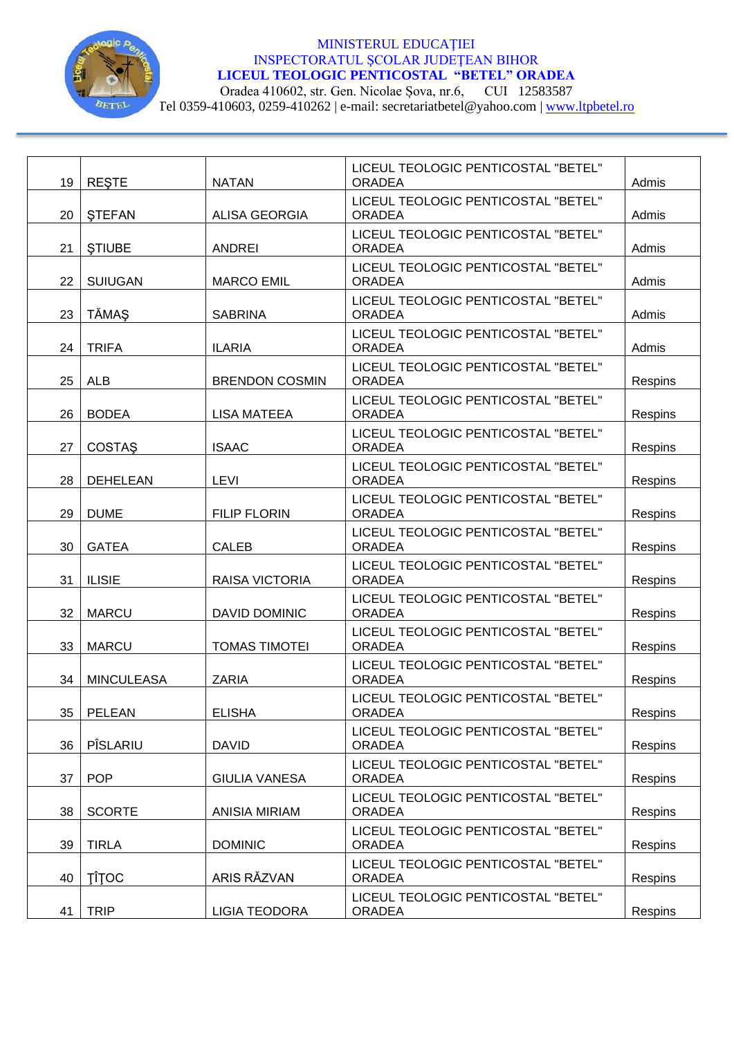

## MINISTERUL EDUCAŢIEI INSPECTORATUL ŞCOLAR JUDEŢEAN BIHOR **LICEUL TEOLOGIC PENTICOSTAL "BETEL" ORADEA**

Oradea 410602, str. Gen. Nicolae Șova, nr.6, CUI 12583587 Tel 0359-410603, 0259-410262 | e-mail: [secretariatbetel@yahoo.com](mailto:secretariatbetel@yahoo.com) | [www.ltpbetel.ro](http://www.ltpbetel.ro/)

| 19              | <b>REŞTE</b>      | <b>NATAN</b>          | LICEUL TEOLOGIC PENTICOSTAL "BETEL"<br><b>ORADEA</b> | Admis   |
|-----------------|-------------------|-----------------------|------------------------------------------------------|---------|
| 20              | <b>STEFAN</b>     | <b>ALISA GEORGIA</b>  | LICEUL TEOLOGIC PENTICOSTAL "BETEL"<br><b>ORADEA</b> | Admis   |
| 21              | <b>STIUBE</b>     | ANDREI                | LICEUL TEOLOGIC PENTICOSTAL "BETEL"<br><b>ORADEA</b> | Admis   |
| 22              | <b>SUIUGAN</b>    | <b>MARCO EMIL</b>     | LICEUL TEOLOGIC PENTICOSTAL "BETEL"<br><b>ORADEA</b> | Admis   |
| 23              | <b>TĂMAŞ</b>      | <b>SABRINA</b>        | LICEUL TEOLOGIC PENTICOSTAL "BETEL"<br><b>ORADEA</b> | Admis   |
| 24              | <b>TRIFA</b>      | <b>ILARIA</b>         | LICEUL TEOLOGIC PENTICOSTAL "BETEL"<br><b>ORADEA</b> | Admis   |
| 25              | ALB               | <b>BRENDON COSMIN</b> | LICEUL TEOLOGIC PENTICOSTAL "BETEL"<br><b>ORADEA</b> | Respins |
| 26              | <b>BODEA</b>      | <b>LISA MATEEA</b>    | LICEUL TEOLOGIC PENTICOSTAL "BETEL"<br><b>ORADEA</b> | Respins |
| 27              | <b>COSTAS</b>     | <b>ISAAC</b>          | LICEUL TEOLOGIC PENTICOSTAL "BETEL"<br><b>ORADEA</b> | Respins |
| 28              | <b>DEHELEAN</b>   | <b>LEVI</b>           | LICEUL TEOLOGIC PENTICOSTAL "BETEL"<br><b>ORADEA</b> | Respins |
| 29              | <b>DUME</b>       | <b>FILIP FLORIN</b>   | LICEUL TEOLOGIC PENTICOSTAL "BETEL"<br><b>ORADEA</b> | Respins |
| 30              | <b>GATEA</b>      | <b>CALEB</b>          | LICEUL TEOLOGIC PENTICOSTAL "BETEL"<br><b>ORADEA</b> | Respins |
| 31              | <b>ILISIE</b>     | <b>RAISA VICTORIA</b> | LICEUL TEOLOGIC PENTICOSTAL "BETEL"<br><b>ORADEA</b> | Respins |
| 32              | <b>MARCU</b>      | <b>DAVID DOMINIC</b>  | LICEUL TEOLOGIC PENTICOSTAL "BETEL"<br><b>ORADEA</b> | Respins |
| 33              | <b>MARCU</b>      | <b>TOMAS TIMOTEI</b>  | LICEUL TEOLOGIC PENTICOSTAL "BETEL"<br><b>ORADEA</b> | Respins |
| 34              | <b>MINCULEASA</b> | <b>ZARIA</b>          | LICEUL TEOLOGIC PENTICOSTAL "BETEL"<br><b>ORADEA</b> | Respins |
| 35 <sub>2</sub> | PELEAN            | <b>ELISHA</b>         | LICEUL TEOLOGIC PENTICOSTAL "BETEL"<br><b>ORADEA</b> | Respins |
| 36              | PÎSLARIU          | <b>DAVID</b>          | LICEUL TEOLOGIC PENTICOSTAL "BETEL"<br><b>ORADEA</b> | Respins |
| 37              | <b>POP</b>        | <b>GIULIA VANESA</b>  | LICEUL TEOLOGIC PENTICOSTAL "BETEL"<br><b>ORADEA</b> | Respins |
| 38              | <b>SCORTE</b>     | <b>ANISIA MIRIAM</b>  | LICEUL TEOLOGIC PENTICOSTAL "BETEL"<br><b>ORADEA</b> | Respins |
| 39              | <b>TIRLA</b>      | <b>DOMINIC</b>        | LICEUL TEOLOGIC PENTICOSTAL "BETEL"<br><b>ORADEA</b> | Respins |
| 40              | TÎTOC             | ARIS RĂZVAN           | LICEUL TEOLOGIC PENTICOSTAL "BETEL"<br><b>ORADEA</b> | Respins |
| 41              | <b>TRIP</b>       | <b>LIGIA TEODORA</b>  | LICEUL TEOLOGIC PENTICOSTAL "BETEL"<br><b>ORADEA</b> | Respins |
|                 |                   |                       |                                                      |         |